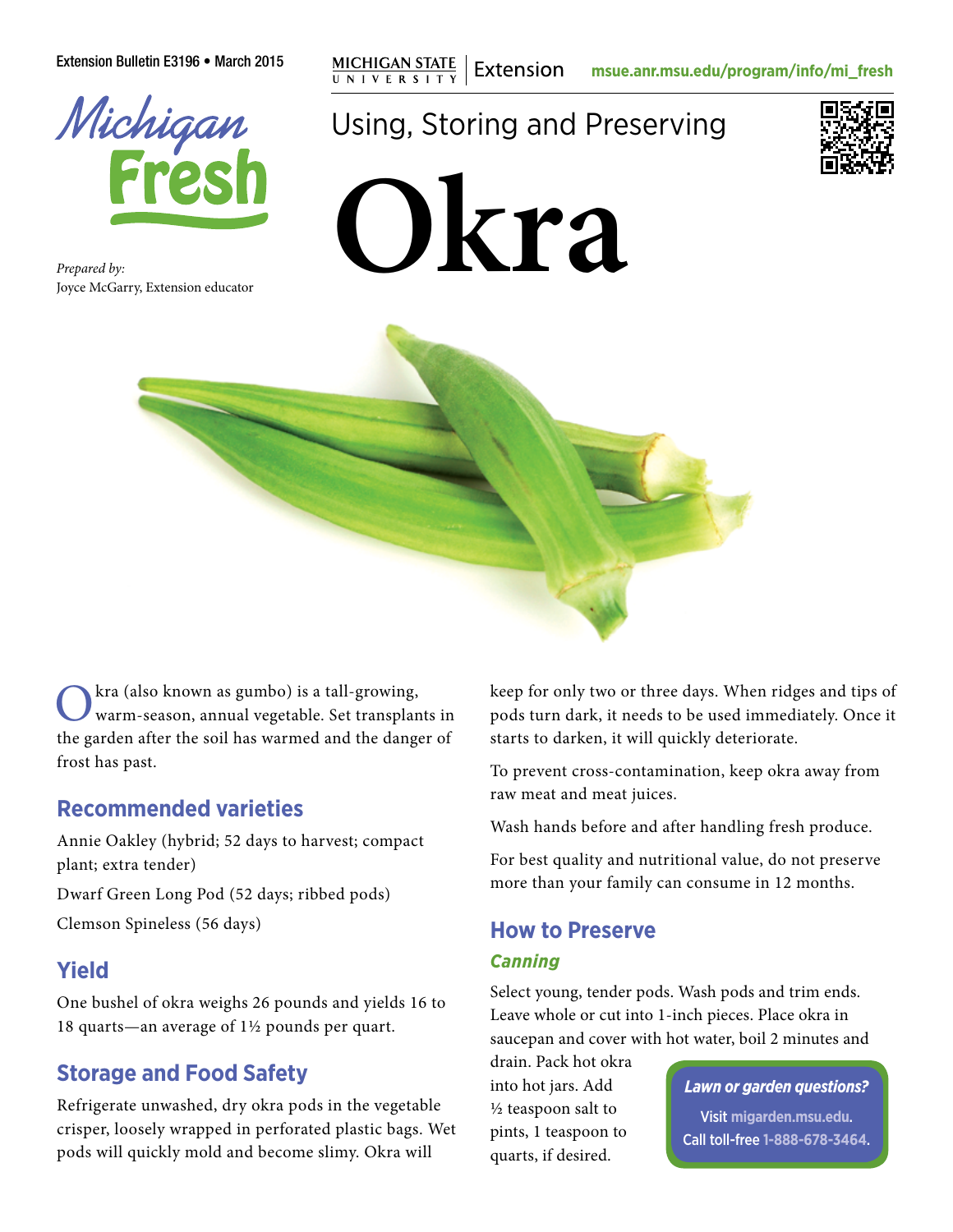Extension Bulletin E3196 • March 2015 **mg MICHIGAN STATE** | Extension **[msue.anr.msu.edu/program/info/mi\\_fresh](http://msue.anr.msu.edu/program/info/mi_fresh)** 



*Prepared by:* Joyce McGarry, Extension educator

# Using, Storing and Preserving







kra (also known as gumbo) is a tall-growing, warm-season, annual vegetable. Set transplants in the garden after the soil has warmed and the danger of frost has past.

### **Recommended varieties**

Annie Oakley (hybrid; 52 days to harvest; compact plant; extra tender)

Dwarf Green Long Pod (52 days; ribbed pods) Clemson Spineless (56 days)

### **Yield**

One bushel of okra weighs 26 pounds and yields 16 to 18 quarts—an average of 1½ pounds per quart.

### **Storage and Food Safety**

Refrigerate unwashed, dry okra pods in the vegetable crisper, loosely wrapped in perforated plastic bags. Wet pods will quickly mold and become slimy. Okra will

keep for only two or three days. When ridges and tips of pods turn dark, it needs to be used immediately. Once it starts to darken, it will quickly deteriorate.

To prevent cross-contamination, keep okra away from raw meat and meat juices.

Wash hands before and after handling fresh produce.

For best quality and nutritional value, do not preserve more than your family can consume in 12 months.

## **How to Preserve**

#### *Canning*

Select young, tender pods. Wash pods and trim ends. Leave whole or cut into 1-inch pieces. Place okra in saucepan and cover with hot water, boil 2 minutes and

drain. Pack hot okra into hot jars. Add ½ teaspoon salt to pints, 1 teaspoon to quarts, if desired.

#### *Lawn or garden questions?*

Visit **[migarden.msu.edu](http://migarden.msu.edu)**. Call toll-free **1-888-678-3464**.